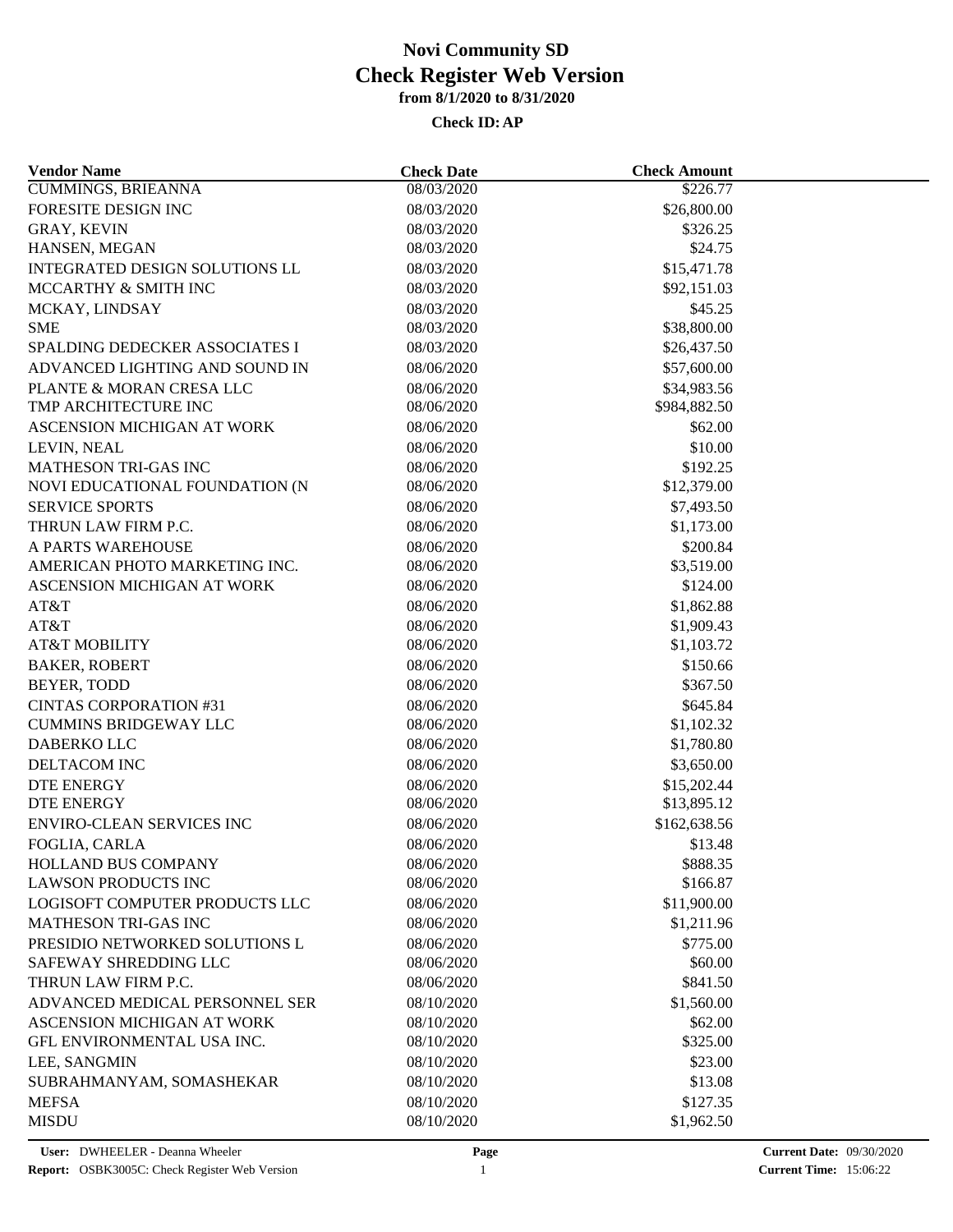| <b>Vendor Name</b>                                           | <b>Check Date</b>        | <b>Check Amount</b>        |  |
|--------------------------------------------------------------|--------------------------|----------------------------|--|
| <b>CUMMINGS, BRIEANNA</b>                                    | 08/03/2020               | \$226.77                   |  |
| FORESITE DESIGN INC                                          | 08/03/2020               | \$26,800.00                |  |
| GRAY, KEVIN                                                  | 08/03/2020               | \$326.25                   |  |
| HANSEN, MEGAN                                                | 08/03/2020               | \$24.75                    |  |
| INTEGRATED DESIGN SOLUTIONS LL                               | 08/03/2020               | \$15,471.78                |  |
| MCCARTHY & SMITH INC                                         | 08/03/2020               | \$92,151.03                |  |
| MCKAY, LINDSAY                                               | 08/03/2020               | \$45.25                    |  |
| <b>SME</b>                                                   | 08/03/2020               | \$38,800.00                |  |
| SPALDING DEDECKER ASSOCIATES I                               | 08/03/2020               | \$26,437.50                |  |
| ADVANCED LIGHTING AND SOUND IN                               | 08/06/2020               | \$57,600.00                |  |
| PLANTE & MORAN CRESA LLC                                     | 08/06/2020               | \$34,983.56                |  |
| TMP ARCHITECTURE INC                                         | 08/06/2020               | \$984,882.50               |  |
| ASCENSION MICHIGAN AT WORK                                   | 08/06/2020               | \$62.00                    |  |
| LEVIN, NEAL                                                  | 08/06/2020               | \$10.00                    |  |
| MATHESON TRI-GAS INC                                         | 08/06/2020               | \$192.25                   |  |
| NOVI EDUCATIONAL FOUNDATION (N                               | 08/06/2020               | \$12,379.00                |  |
| <b>SERVICE SPORTS</b>                                        | 08/06/2020               | \$7,493.50                 |  |
| THRUN LAW FIRM P.C.                                          | 08/06/2020               | \$1,173.00                 |  |
| A PARTS WAREHOUSE                                            | 08/06/2020               | \$200.84                   |  |
| AMERICAN PHOTO MARKETING INC.                                | 08/06/2020               | \$3,519.00                 |  |
| ASCENSION MICHIGAN AT WORK                                   | 08/06/2020               | \$124.00                   |  |
| AT&T                                                         | 08/06/2020               | \$1,862.88                 |  |
| AT&T                                                         | 08/06/2020               | \$1,909.43                 |  |
| <b>AT&amp;T MOBILITY</b>                                     | 08/06/2020               | \$1,103.72                 |  |
| <b>BAKER, ROBERT</b>                                         | 08/06/2020               | \$150.66                   |  |
| BEYER, TODD                                                  | 08/06/2020               | \$367.50                   |  |
| <b>CINTAS CORPORATION #31</b>                                | 08/06/2020               | \$645.84                   |  |
| <b>CUMMINS BRIDGEWAY LLC</b>                                 | 08/06/2020               | \$1,102.32                 |  |
| DABERKO LLC                                                  | 08/06/2020               | \$1,780.80                 |  |
| DELTACOM INC                                                 | 08/06/2020               | \$3,650.00                 |  |
| <b>DTE ENERGY</b>                                            | 08/06/2020               |                            |  |
| <b>DTE ENERGY</b>                                            | 08/06/2020               | \$15,202.44<br>\$13,895.12 |  |
| <b>ENVIRO-CLEAN SERVICES INC</b>                             | 08/06/2020               | \$162,638.56               |  |
|                                                              |                          | \$13.48                    |  |
| FOGLIA, CARLA                                                | 08/06/2020<br>08/06/2020 | \$888.35                   |  |
| HOLLAND BUS COMPANY                                          | 08/06/2020               | \$166.87                   |  |
| <b>LAWSON PRODUCTS INC</b><br>LOGISOFT COMPUTER PRODUCTS LLC |                          |                            |  |
|                                                              | 08/06/2020               | \$11,900.00                |  |
| <b>MATHESON TRI-GAS INC</b>                                  | 08/06/2020               | \$1,211.96                 |  |
| PRESIDIO NETWORKED SOLUTIONS L                               | 08/06/2020               | \$775.00                   |  |
| SAFEWAY SHREDDING LLC                                        | 08/06/2020               | \$60.00                    |  |
| THRUN LAW FIRM P.C.                                          | 08/06/2020               | \$841.50                   |  |
| ADVANCED MEDICAL PERSONNEL SER                               | 08/10/2020               | \$1,560.00                 |  |
| ASCENSION MICHIGAN AT WORK                                   | 08/10/2020               | \$62.00                    |  |
| GFL ENVIRONMENTAL USA INC.                                   | 08/10/2020               | \$325.00                   |  |
| LEE, SANGMIN                                                 | 08/10/2020               | \$23.00                    |  |
| SUBRAHMANYAM, SOMASHEKAR                                     | 08/10/2020               | \$13.08                    |  |
| <b>MEFSA</b>                                                 | 08/10/2020               | \$127.35                   |  |
| <b>MISDU</b>                                                 | 08/10/2020               | \$1,962.50                 |  |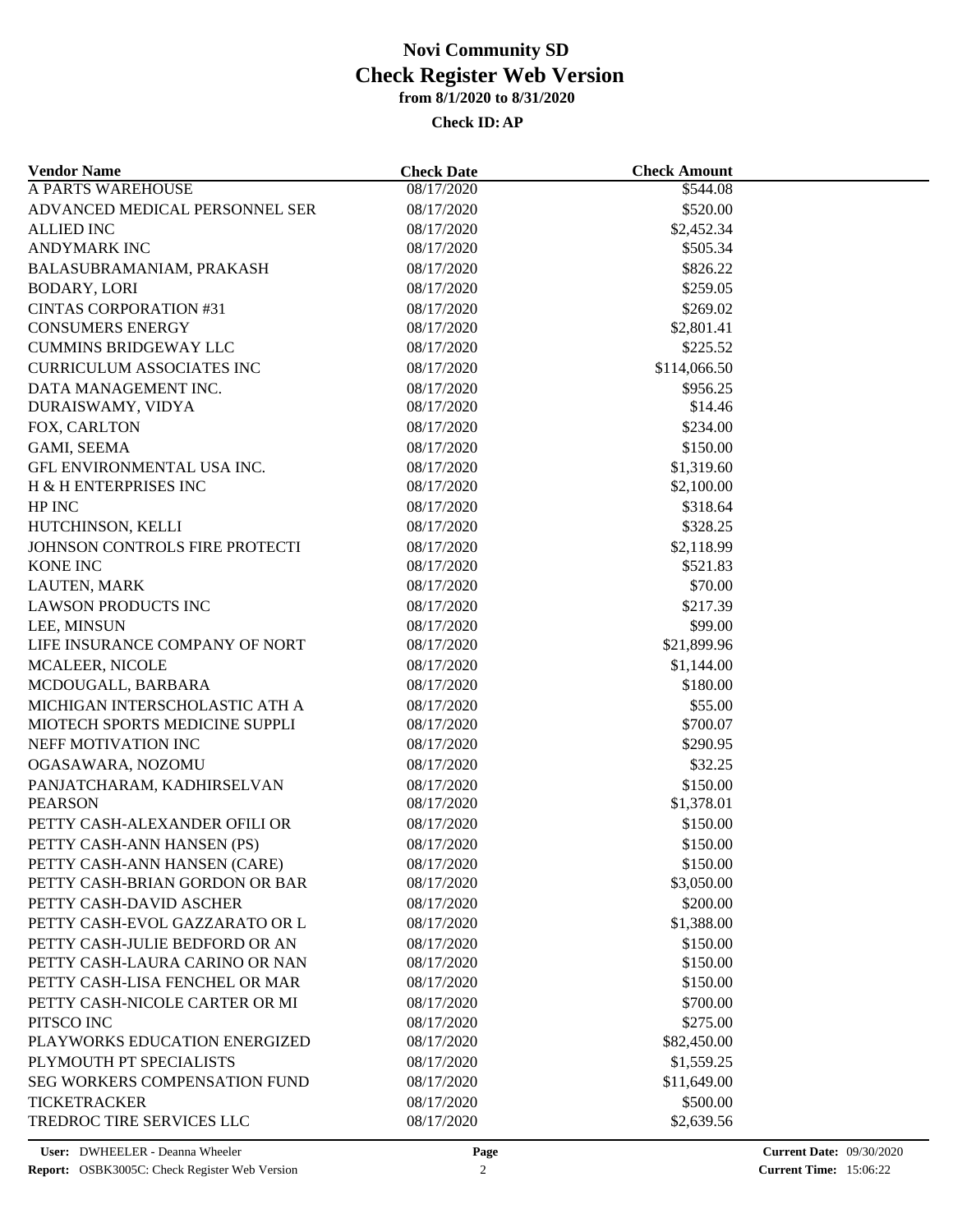| <b>Vendor Name</b>                   | <b>Check Date</b> | <b>Check Amount</b> |  |
|--------------------------------------|-------------------|---------------------|--|
| <b>A PARTS WAREHOUSE</b>             | 08/17/2020        | \$544.08            |  |
| ADVANCED MEDICAL PERSONNEL SER       | 08/17/2020        | \$520.00            |  |
| <b>ALLIED INC</b>                    | 08/17/2020        | \$2,452.34          |  |
| <b>ANDYMARK INC</b>                  | 08/17/2020        | \$505.34            |  |
| BALASUBRAMANIAM, PRAKASH             | 08/17/2020        | \$826.22            |  |
| <b>BODARY, LORI</b>                  | 08/17/2020        | \$259.05            |  |
| <b>CINTAS CORPORATION #31</b>        | 08/17/2020        | \$269.02            |  |
| <b>CONSUMERS ENERGY</b>              | 08/17/2020        | \$2,801.41          |  |
| <b>CUMMINS BRIDGEWAY LLC</b>         | 08/17/2020        | \$225.52            |  |
| <b>CURRICULUM ASSOCIATES INC</b>     | 08/17/2020        | \$114,066.50        |  |
| DATA MANAGEMENT INC.                 | 08/17/2020        | \$956.25            |  |
| DURAISWAMY, VIDYA                    | 08/17/2020        | \$14.46             |  |
| FOX, CARLTON                         | 08/17/2020        | \$234.00            |  |
| GAMI, SEEMA                          | 08/17/2020        | \$150.00            |  |
| GFL ENVIRONMENTAL USA INC.           | 08/17/2020        | \$1,319.60          |  |
| H & H ENTERPRISES INC                | 08/17/2020        | \$2,100.00          |  |
| HP INC                               | 08/17/2020        | \$318.64            |  |
| HUTCHINSON, KELLI                    | 08/17/2020        | \$328.25            |  |
| JOHNSON CONTROLS FIRE PROTECTI       | 08/17/2020        | \$2,118.99          |  |
| <b>KONE INC</b>                      | 08/17/2020        | \$521.83            |  |
| LAUTEN, MARK                         | 08/17/2020        | \$70.00             |  |
| <b>LAWSON PRODUCTS INC</b>           | 08/17/2020        | \$217.39            |  |
| LEE, MINSUN                          | 08/17/2020        | \$99.00             |  |
| LIFE INSURANCE COMPANY OF NORT       | 08/17/2020        | \$21,899.96         |  |
| MCALEER, NICOLE                      | 08/17/2020        | \$1,144.00          |  |
| MCDOUGALL, BARBARA                   | 08/17/2020        | \$180.00            |  |
|                                      |                   |                     |  |
| MICHIGAN INTERSCHOLASTIC ATH A       | 08/17/2020        | \$55.00             |  |
| MIOTECH SPORTS MEDICINE SUPPLI       | 08/17/2020        | \$700.07            |  |
| NEFF MOTIVATION INC                  | 08/17/2020        | \$290.95            |  |
| OGASAWARA, NOZOMU                    | 08/17/2020        | \$32.25             |  |
| PANJATCHARAM, KADHIRSELVAN           | 08/17/2020        | \$150.00            |  |
| <b>PEARSON</b>                       | 08/17/2020        | \$1,378.01          |  |
| PETTY CASH-ALEXANDER OFILI OR        | 08/17/2020        | \$150.00            |  |
| PETTY CASH-ANN HANSEN (PS)           | 08/17/2020        | \$150.00            |  |
| PETTY CASH-ANN HANSEN (CARE)         | 08/17/2020        | \$150.00            |  |
| PETTY CASH-BRIAN GORDON OR BAR       | 08/17/2020        | \$3,050.00          |  |
| PETTY CASH-DAVID ASCHER              | 08/17/2020        | \$200.00            |  |
| PETTY CASH-EVOL GAZZARATO OR L       | 08/17/2020        | \$1,388.00          |  |
| PETTY CASH-JULIE BEDFORD OR AN       | 08/17/2020        | \$150.00            |  |
| PETTY CASH-LAURA CARINO OR NAN       | 08/17/2020        | \$150.00            |  |
| PETTY CASH-LISA FENCHEL OR MAR       | 08/17/2020        | \$150.00            |  |
| PETTY CASH-NICOLE CARTER OR MI       | 08/17/2020        | \$700.00            |  |
| PITSCO INC                           | 08/17/2020        | \$275.00            |  |
| PLAYWORKS EDUCATION ENERGIZED        | 08/17/2020        | \$82,450.00         |  |
| PLYMOUTH PT SPECIALISTS              | 08/17/2020        | \$1,559.25          |  |
| <b>SEG WORKERS COMPENSATION FUND</b> | 08/17/2020        | \$11,649.00         |  |
| <b>TICKETRACKER</b>                  | 08/17/2020        | \$500.00            |  |
| TREDROC TIRE SERVICES LLC            | 08/17/2020        | \$2,639.56          |  |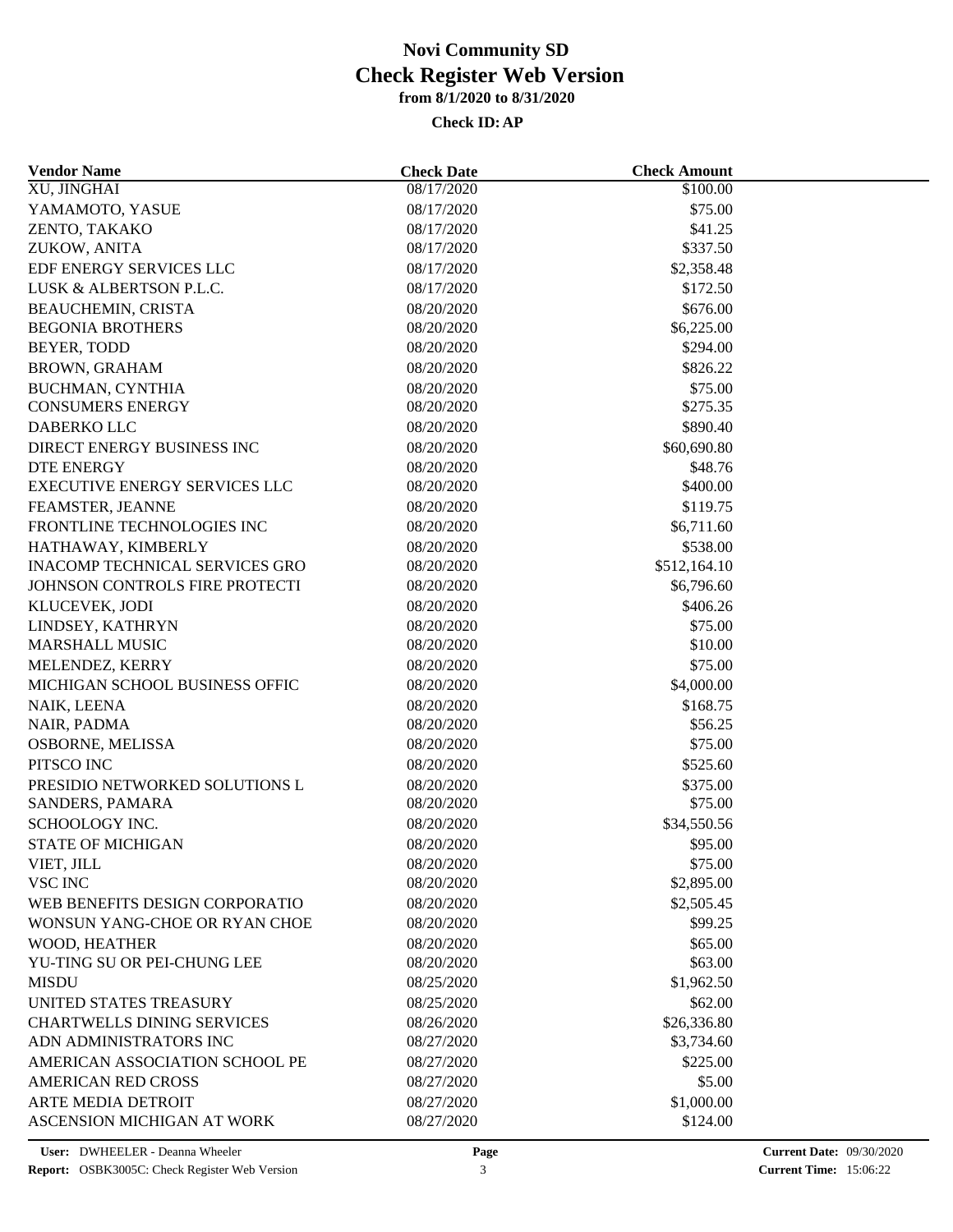| <b>Vendor Name</b>                                          | <b>Check Date</b> | <b>Check Amount</b> |  |
|-------------------------------------------------------------|-------------------|---------------------|--|
| XU, JINGHAI                                                 | 08/17/2020        | \$100.00            |  |
| YAMAMOTO, YASUE                                             | 08/17/2020        | \$75.00             |  |
| ZENTO, TAKAKO                                               | 08/17/2020        | \$41.25             |  |
| ZUKOW, ANITA                                                | 08/17/2020        | \$337.50            |  |
| EDF ENERGY SERVICES LLC                                     | 08/17/2020        | \$2,358.48          |  |
| LUSK & ALBERTSON P.L.C.                                     | 08/17/2020        | \$172.50            |  |
| <b>BEAUCHEMIN, CRISTA</b>                                   | 08/20/2020        | \$676.00            |  |
| <b>BEGONIA BROTHERS</b>                                     | 08/20/2020        | \$6,225.00          |  |
| BEYER, TODD                                                 | 08/20/2020        | \$294.00            |  |
| <b>BROWN, GRAHAM</b>                                        | 08/20/2020        | \$826.22            |  |
| BUCHMAN, CYNTHIA                                            | 08/20/2020        | \$75.00             |  |
| <b>CONSUMERS ENERGY</b>                                     | 08/20/2020        | \$275.35            |  |
| DABERKO LLC                                                 | 08/20/2020        | \$890.40            |  |
| DIRECT ENERGY BUSINESS INC                                  | 08/20/2020        | \$60,690.80         |  |
| <b>DTE ENERGY</b>                                           | 08/20/2020        | \$48.76             |  |
| <b>EXECUTIVE ENERGY SERVICES LLC</b>                        | 08/20/2020        | \$400.00            |  |
| FEAMSTER, JEANNE                                            | 08/20/2020        | \$119.75            |  |
| FRONTLINE TECHNOLOGIES INC                                  | 08/20/2020        | \$6,711.60          |  |
|                                                             | 08/20/2020        | \$538.00            |  |
| HATHAWAY, KIMBERLY<br><b>INACOMP TECHNICAL SERVICES GRO</b> | 08/20/2020        | \$512,164.10        |  |
| JOHNSON CONTROLS FIRE PROTECTI                              | 08/20/2020        |                     |  |
|                                                             |                   | \$6,796.60          |  |
| KLUCEVEK, JODI                                              | 08/20/2020        | \$406.26            |  |
| LINDSEY, KATHRYN                                            | 08/20/2020        | \$75.00             |  |
| <b>MARSHALL MUSIC</b>                                       | 08/20/2020        | \$10.00             |  |
| MELENDEZ, KERRY                                             | 08/20/2020        | \$75.00             |  |
| MICHIGAN SCHOOL BUSINESS OFFIC                              | 08/20/2020        | \$4,000.00          |  |
| NAIK, LEENA                                                 | 08/20/2020        | \$168.75            |  |
| NAIR, PADMA                                                 | 08/20/2020        | \$56.25             |  |
| OSBORNE, MELISSA                                            | 08/20/2020        | \$75.00             |  |
| PITSCO INC                                                  | 08/20/2020        | \$525.60            |  |
| PRESIDIO NETWORKED SOLUTIONS L                              | 08/20/2020        | \$375.00            |  |
| SANDERS, PAMARA                                             | 08/20/2020        | \$75.00             |  |
| SCHOOLOGY INC.                                              | 08/20/2020        | \$34,550.56         |  |
| <b>STATE OF MICHIGAN</b>                                    | 08/20/2020        | \$95.00             |  |
| VIET, JILL                                                  | 08/20/2020        | \$75.00             |  |
| VSC INC                                                     | 08/20/2020        | \$2,895.00          |  |
| WEB BENEFITS DESIGN CORPORATIO                              | 08/20/2020        | \$2,505.45          |  |
| WONSUN YANG-CHOE OR RYAN CHOE                               | 08/20/2020        | \$99.25             |  |
| WOOD, HEATHER                                               | 08/20/2020        | \$65.00             |  |
| YU-TING SU OR PEI-CHUNG LEE                                 | 08/20/2020        | \$63.00             |  |
| <b>MISDU</b>                                                | 08/25/2020        | \$1,962.50          |  |
| UNITED STATES TREASURY                                      | 08/25/2020        | \$62.00             |  |
| <b>CHARTWELLS DINING SERVICES</b>                           | 08/26/2020        | \$26,336.80         |  |
| ADN ADMINISTRATORS INC                                      | 08/27/2020        | \$3,734.60          |  |
| AMERICAN ASSOCIATION SCHOOL PE                              | 08/27/2020        | \$225.00            |  |
| <b>AMERICAN RED CROSS</b>                                   | 08/27/2020        | \$5.00              |  |
| ARTE MEDIA DETROIT                                          | 08/27/2020        | \$1,000.00          |  |
| ASCENSION MICHIGAN AT WORK                                  | 08/27/2020        | \$124.00            |  |
|                                                             |                   |                     |  |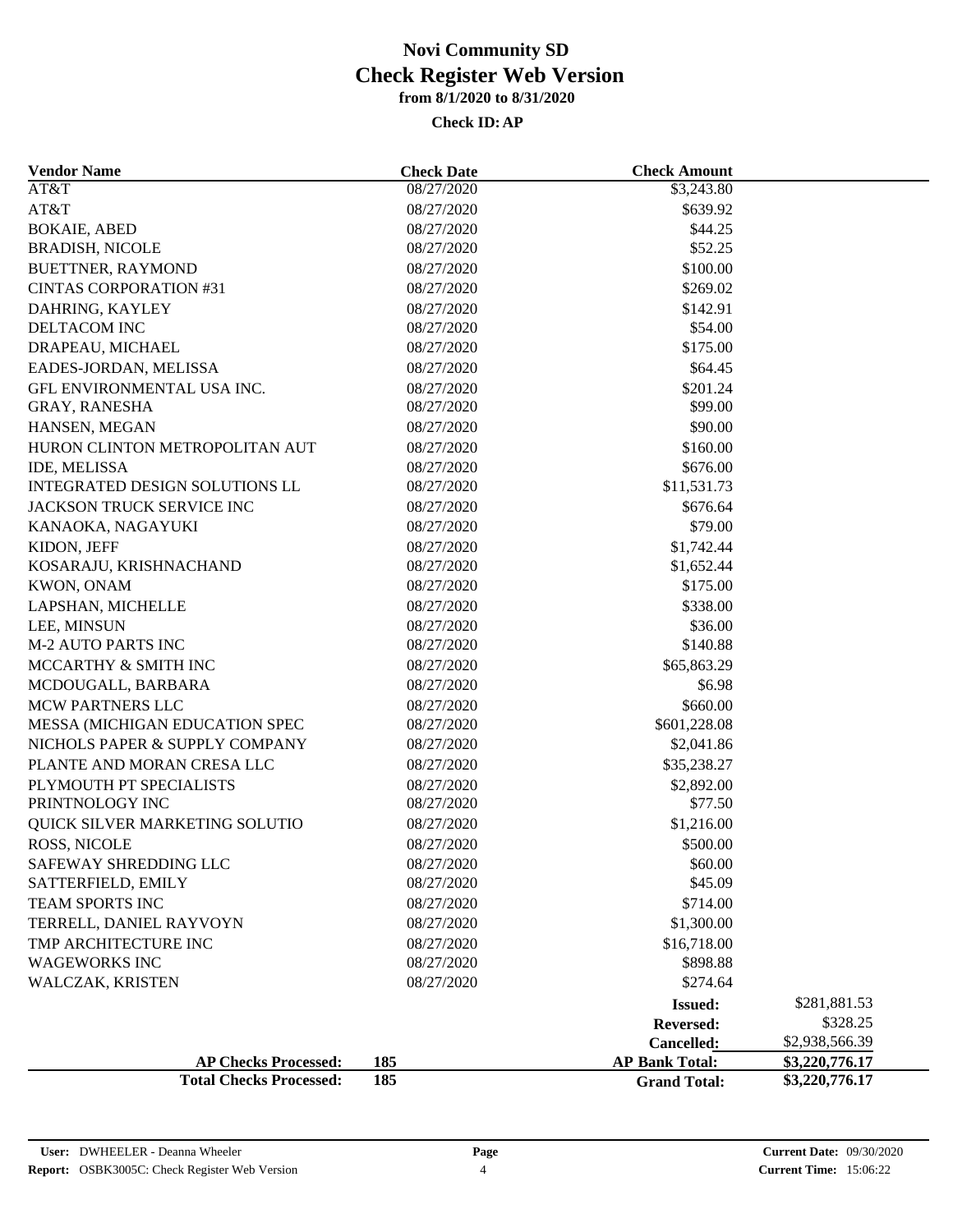| <b>Vendor Name</b>             | <b>Check Date</b> | <b>Check Amount</b>   |                |  |
|--------------------------------|-------------------|-----------------------|----------------|--|
| AT&T                           | 08/27/2020        | \$3,243.80            |                |  |
| AT&T                           | 08/27/2020        | \$639.92              |                |  |
| <b>BOKAIE, ABED</b>            | 08/27/2020        | \$44.25               |                |  |
| <b>BRADISH, NICOLE</b>         | 08/27/2020        | \$52.25               |                |  |
| BUETTNER, RAYMOND              | 08/27/2020        | \$100.00              |                |  |
| <b>CINTAS CORPORATION #31</b>  | 08/27/2020        | \$269.02              |                |  |
| DAHRING, KAYLEY                | 08/27/2020        | \$142.91              |                |  |
| DELTACOM INC                   | 08/27/2020        | \$54.00               |                |  |
| DRAPEAU, MICHAEL               | 08/27/2020        | \$175.00              |                |  |
| EADES-JORDAN, MELISSA          | 08/27/2020        | \$64.45               |                |  |
| GFL ENVIRONMENTAL USA INC.     | 08/27/2020        | \$201.24              |                |  |
| GRAY, RANESHA                  | 08/27/2020        | \$99.00               |                |  |
| HANSEN, MEGAN                  | 08/27/2020        | \$90.00               |                |  |
| HURON CLINTON METROPOLITAN AUT | 08/27/2020        | \$160.00              |                |  |
| IDE, MELISSA                   | 08/27/2020        | \$676.00              |                |  |
| INTEGRATED DESIGN SOLUTIONS LL | 08/27/2020        | \$11,531.73           |                |  |
| JACKSON TRUCK SERVICE INC      | 08/27/2020        | \$676.64              |                |  |
| KANAOKA, NAGAYUKI              | 08/27/2020        | \$79.00               |                |  |
| KIDON, JEFF                    | 08/27/2020        | \$1,742.44            |                |  |
| KOSARAJU, KRISHNACHAND         | 08/27/2020        | \$1,652.44            |                |  |
| KWON, ONAM                     | 08/27/2020        | \$175.00              |                |  |
| LAPSHAN, MICHELLE              | 08/27/2020        | \$338.00              |                |  |
| LEE, MINSUN                    | 08/27/2020        | \$36.00               |                |  |
| <b>M-2 AUTO PARTS INC</b>      | 08/27/2020        | \$140.88              |                |  |
| MCCARTHY & SMITH INC           | 08/27/2020        | \$65,863.29           |                |  |
| MCDOUGALL, BARBARA             | 08/27/2020        | \$6.98                |                |  |
| <b>MCW PARTNERS LLC</b>        | 08/27/2020        | \$660.00              |                |  |
| MESSA (MICHIGAN EDUCATION SPEC | 08/27/2020        | \$601,228.08          |                |  |
| NICHOLS PAPER & SUPPLY COMPANY | 08/27/2020        | \$2,041.86            |                |  |
| PLANTE AND MORAN CRESA LLC     | 08/27/2020        | \$35,238.27           |                |  |
| PLYMOUTH PT SPECIALISTS        | 08/27/2020        | \$2,892.00            |                |  |
| PRINTNOLOGY INC                | 08/27/2020        | \$77.50               |                |  |
| QUICK SILVER MARKETING SOLUTIO | 08/27/2020        | \$1,216.00            |                |  |
| ROSS, NICOLE                   | 08/27/2020        | \$500.00              |                |  |
| SAFEWAY SHREDDING LLC          | 08/27/2020        | \$60.00               |                |  |
| SATTERFIELD, EMILY             | 08/27/2020        | \$45.09               |                |  |
| TEAM SPORTS INC                | 08/27/2020        | \$714.00              |                |  |
| TERRELL, DANIEL RAYVOYN        | 08/27/2020        | \$1,300.00            |                |  |
| TMP ARCHITECTURE INC           | 08/27/2020        | \$16,718.00           |                |  |
| <b>WAGEWORKS INC</b>           | 08/27/2020        | \$898.88              |                |  |
| WALCZAK, KRISTEN               | 08/27/2020        | \$274.64              |                |  |
|                                |                   | <b>Issued:</b>        | \$281,881.53   |  |
|                                |                   | Reversed:             | \$328.25       |  |
|                                |                   | Cancelled:            | \$2,938,566.39 |  |
| <b>AP Checks Processed:</b>    | 185               | <b>AP Bank Total:</b> | \$3,220,776.17 |  |
| <b>Total Checks Processed:</b> | 185               | <b>Grand Total:</b>   | \$3,220,776.17 |  |
|                                |                   |                       |                |  |